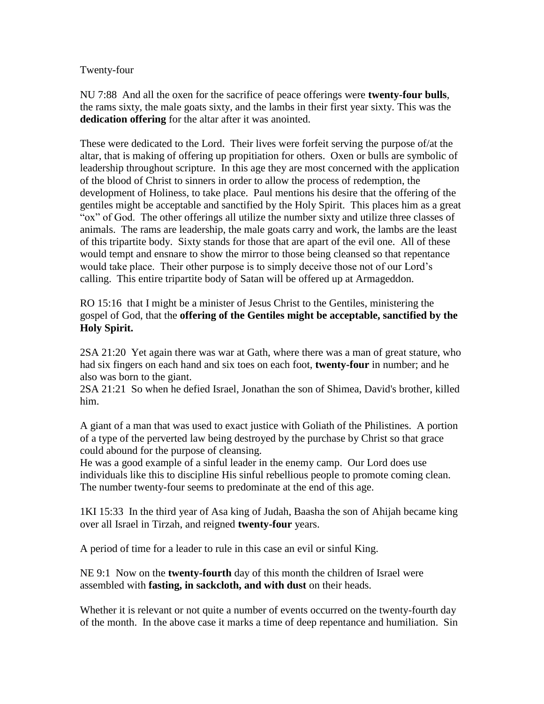Twenty-four

NU 7:88 And all the oxen for the sacrifice of peace offerings were **twenty-four bulls**, the rams sixty, the male goats sixty, and the lambs in their first year sixty. This was the **dedication offering** for the altar after it was anointed.

These were dedicated to the Lord. Their lives were forfeit serving the purpose of/at the altar, that is making of offering up propitiation for others. Oxen or bulls are symbolic of leadership throughout scripture. In this age they are most concerned with the application of the blood of Christ to sinners in order to allow the process of redemption, the development of Holiness, to take place. Paul mentions his desire that the offering of the gentiles might be acceptable and sanctified by the Holy Spirit. This places him as a great "ox" of God. The other offerings all utilize the number sixty and utilize three classes of animals. The rams are leadership, the male goats carry and work, the lambs are the least of this tripartite body. Sixty stands for those that are apart of the evil one. All of these would tempt and ensnare to show the mirror to those being cleansed so that repentance would take place. Their other purpose is to simply deceive those not of our Lord's calling. This entire tripartite body of Satan will be offered up at Armageddon.

RO 15:16 that I might be a minister of Jesus Christ to the Gentiles, ministering the gospel of God, that the **offering of the Gentiles might be acceptable, sanctified by the Holy Spirit.**

2SA 21:20 Yet again there was war at Gath, where there was a man of great stature, who had six fingers on each hand and six toes on each foot, **twenty-four** in number; and he also was born to the giant.

2SA 21:21 So when he defied Israel, Jonathan the son of Shimea, David's brother, killed him.

A giant of a man that was used to exact justice with Goliath of the Philistines. A portion of a type of the perverted law being destroyed by the purchase by Christ so that grace could abound for the purpose of cleansing.

He was a good example of a sinful leader in the enemy camp. Our Lord does use individuals like this to discipline His sinful rebellious people to promote coming clean. The number twenty-four seems to predominate at the end of this age.

1KI 15:33 In the third year of Asa king of Judah, Baasha the son of Ahijah became king over all Israel in Tirzah, and reigned **twenty-four** years.

A period of time for a leader to rule in this case an evil or sinful King.

NE 9:1 Now on the **twenty-fourth** day of this month the children of Israel were assembled with **fasting, in sackcloth, and with dust** on their heads.

Whether it is relevant or not quite a number of events occurred on the twenty-fourth day of the month. In the above case it marks a time of deep repentance and humiliation. Sin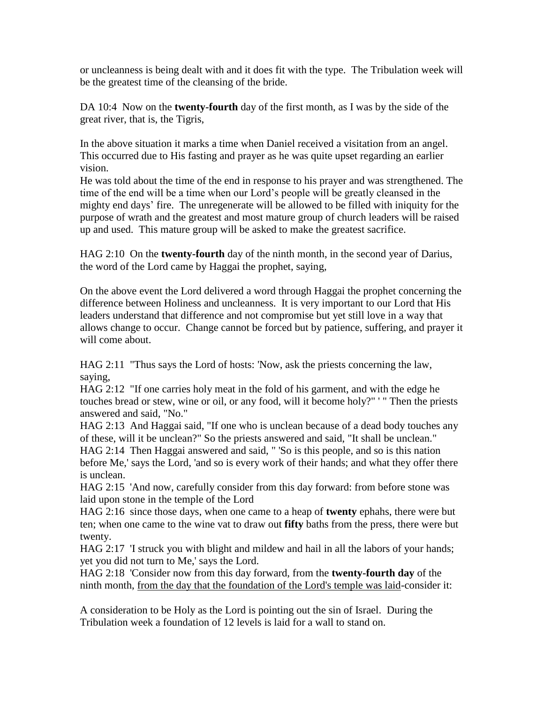or uncleanness is being dealt with and it does fit with the type. The Tribulation week will be the greatest time of the cleansing of the bride.

DA 10:4 Now on the **twenty-fourth** day of the first month, as I was by the side of the great river, that is, the Tigris,

In the above situation it marks a time when Daniel received a visitation from an angel. This occurred due to His fasting and prayer as he was quite upset regarding an earlier vision.

He was told about the time of the end in response to his prayer and was strengthened. The time of the end will be a time when our Lord's people will be greatly cleansed in the mighty end days' fire. The unregenerate will be allowed to be filled with iniquity for the purpose of wrath and the greatest and most mature group of church leaders will be raised up and used. This mature group will be asked to make the greatest sacrifice.

HAG 2:10 On the **twenty-fourth** day of the ninth month, in the second year of Darius, the word of the Lord came by Haggai the prophet, saying,

On the above event the Lord delivered a word through Haggai the prophet concerning the difference between Holiness and uncleanness. It is very important to our Lord that His leaders understand that difference and not compromise but yet still love in a way that allows change to occur. Change cannot be forced but by patience, suffering, and prayer it will come about.

HAG 2:11 "Thus says the Lord of hosts: 'Now, ask the priests concerning the law, saying,

HAG 2:12 "If one carries holy meat in the fold of his garment, and with the edge he touches bread or stew, wine or oil, or any food, will it become holy?" ' " Then the priests answered and said, "No."

HAG 2:13 And Haggai said, "If one who is unclean because of a dead body touches any of these, will it be unclean?" So the priests answered and said, "It shall be unclean." HAG 2:14 Then Haggai answered and said, " 'So is this people, and so is this nation before Me,' says the Lord, 'and so is every work of their hands; and what they offer there is unclean.

HAG 2:15 'And now, carefully consider from this day forward: from before stone was laid upon stone in the temple of the Lord

HAG 2:16 since those days, when one came to a heap of **twenty** ephahs, there were but ten; when one came to the wine vat to draw out **fifty** baths from the press, there were but twenty.

HAG 2:17 'I struck you with blight and mildew and hail in all the labors of your hands; yet you did not turn to Me,' says the Lord.

HAG 2:18 'Consider now from this day forward, from the **twenty-fourth day** of the ninth month, from the day that the foundation of the Lord's temple was laid-consider it:

A consideration to be Holy as the Lord is pointing out the sin of Israel. During the Tribulation week a foundation of 12 levels is laid for a wall to stand on.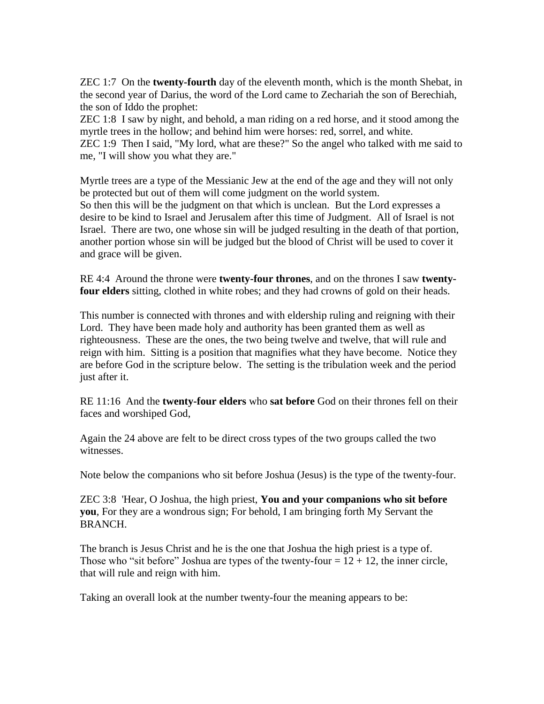ZEC 1:7 On the **twenty-fourth** day of the eleventh month, which is the month Shebat, in the second year of Darius, the word of the Lord came to Zechariah the son of Berechiah, the son of Iddo the prophet:

ZEC 1:8 I saw by night, and behold, a man riding on a red horse, and it stood among the myrtle trees in the hollow; and behind him were horses: red, sorrel, and white. ZEC 1:9 Then I said, "My lord, what are these?" So the angel who talked with me said to me, "I will show you what they are."

Myrtle trees are a type of the Messianic Jew at the end of the age and they will not only be protected but out of them will come judgment on the world system. So then this will be the judgment on that which is unclean. But the Lord expresses a desire to be kind to Israel and Jerusalem after this time of Judgment. All of Israel is not Israel. There are two, one whose sin will be judged resulting in the death of that portion, another portion whose sin will be judged but the blood of Christ will be used to cover it and grace will be given.

RE 4:4 Around the throne were **twenty-four thrones**, and on the thrones I saw **twentyfour elders** sitting, clothed in white robes; and they had crowns of gold on their heads.

This number is connected with thrones and with eldership ruling and reigning with their Lord. They have been made holy and authority has been granted them as well as righteousness. These are the ones, the two being twelve and twelve, that will rule and reign with him. Sitting is a position that magnifies what they have become. Notice they are before God in the scripture below. The setting is the tribulation week and the period just after it.

RE 11:16 And the **twenty-four elders** who **sat before** God on their thrones fell on their faces and worshiped God,

Again the 24 above are felt to be direct cross types of the two groups called the two witnesses.

Note below the companions who sit before Joshua (Jesus) is the type of the twenty-four.

ZEC 3:8 'Hear, O Joshua, the high priest, **You and your companions who sit before you**, For they are a wondrous sign; For behold, I am bringing forth My Servant the BRANCH.

The branch is Jesus Christ and he is the one that Joshua the high priest is a type of. Those who "sit before" Joshua are types of the twenty-four  $= 12 + 12$ , the inner circle, that will rule and reign with him.

Taking an overall look at the number twenty-four the meaning appears to be: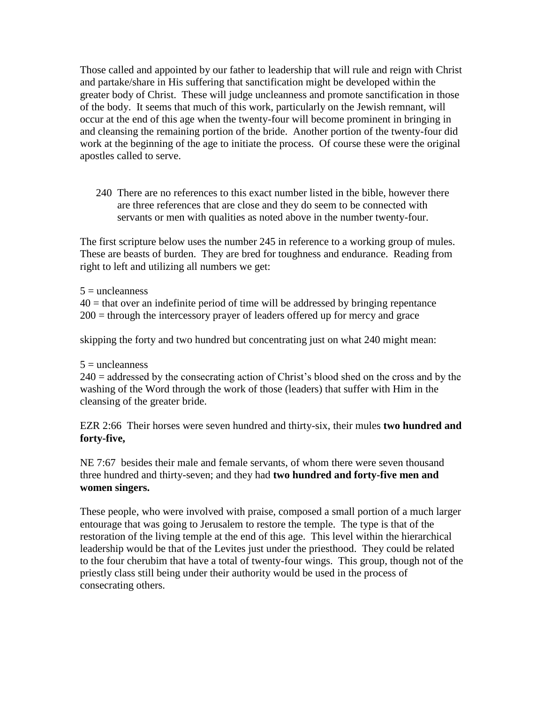Those called and appointed by our father to leadership that will rule and reign with Christ and partake/share in His suffering that sanctification might be developed within the greater body of Christ. These will judge uncleanness and promote sanctification in those of the body. It seems that much of this work, particularly on the Jewish remnant, will occur at the end of this age when the twenty-four will become prominent in bringing in and cleansing the remaining portion of the bride. Another portion of the twenty-four did work at the beginning of the age to initiate the process. Of course these were the original apostles called to serve.

240 There are no references to this exact number listed in the bible, however there are three references that are close and they do seem to be connected with servants or men with qualities as noted above in the number twenty-four.

The first scripture below uses the number 245 in reference to a working group of mules. These are beasts of burden. They are bred for toughness and endurance. Reading from right to left and utilizing all numbers we get:

 $5 =$  uncleanness

 $40$  = that over an indefinite period of time will be addressed by bringing repentance 200 = through the intercessory prayer of leaders offered up for mercy and grace

skipping the forty and two hundred but concentrating just on what 240 might mean:

 $5 =$  uncleanness

 $240 =$  addressed by the consecrating action of Christ's blood shed on the cross and by the washing of the Word through the work of those (leaders) that suffer with Him in the cleansing of the greater bride.

EZR 2:66 Their horses were seven hundred and thirty-six, their mules **two hundred and forty-five,**

NE 7:67 besides their male and female servants, of whom there were seven thousand three hundred and thirty-seven; and they had **two hundred and forty-five men and women singers.**

These people, who were involved with praise, composed a small portion of a much larger entourage that was going to Jerusalem to restore the temple. The type is that of the restoration of the living temple at the end of this age. This level within the hierarchical leadership would be that of the Levites just under the priesthood. They could be related to the four cherubim that have a total of twenty-four wings. This group, though not of the priestly class still being under their authority would be used in the process of consecrating others.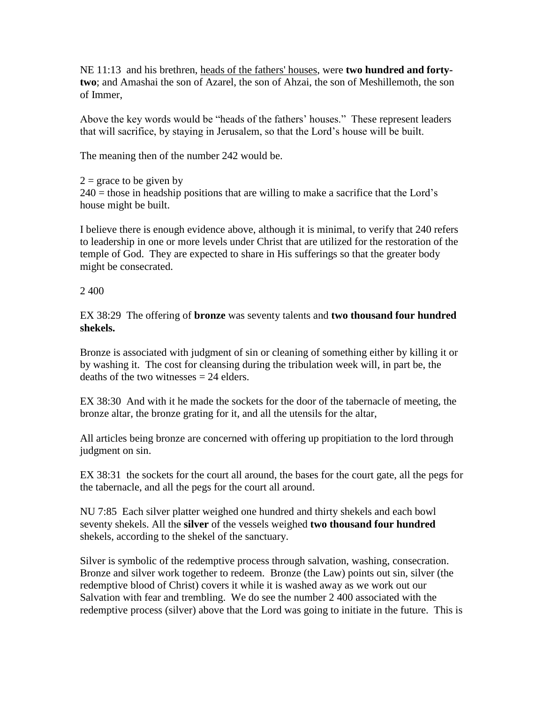NE 11:13 and his brethren, heads of the fathers' houses, were **two hundred and fortytwo**; and Amashai the son of Azarel, the son of Ahzai, the son of Meshillemoth, the son of Immer,

Above the key words would be "heads of the fathers' houses." These represent leaders that will sacrifice, by staying in Jerusalem, so that the Lord's house will be built.

The meaning then of the number 242 would be.

 $2 =$  grace to be given by  $240$  = those in headship positions that are willing to make a sacrifice that the Lord's house might be built.

I believe there is enough evidence above, although it is minimal, to verify that 240 refers to leadership in one or more levels under Christ that are utilized for the restoration of the temple of God. They are expected to share in His sufferings so that the greater body might be consecrated.

## 2 400

EX 38:29 The offering of **bronze** was seventy talents and **two thousand four hundred shekels.**

Bronze is associated with judgment of sin or cleaning of something either by killing it or by washing it. The cost for cleansing during the tribulation week will, in part be, the deaths of the two witnesses  $= 24$  elders.

EX 38:30 And with it he made the sockets for the door of the tabernacle of meeting, the bronze altar, the bronze grating for it, and all the utensils for the altar,

All articles being bronze are concerned with offering up propitiation to the lord through judgment on sin.

EX 38:31 the sockets for the court all around, the bases for the court gate, all the pegs for the tabernacle, and all the pegs for the court all around.

NU 7:85 Each silver platter weighed one hundred and thirty shekels and each bowl seventy shekels. All the **silver** of the vessels weighed **two thousand four hundred** shekels, according to the shekel of the sanctuary.

Silver is symbolic of the redemptive process through salvation, washing, consecration. Bronze and silver work together to redeem. Bronze (the Law) points out sin, silver (the redemptive blood of Christ) covers it while it is washed away as we work out our Salvation with fear and trembling. We do see the number 2 400 associated with the redemptive process (silver) above that the Lord was going to initiate in the future. This is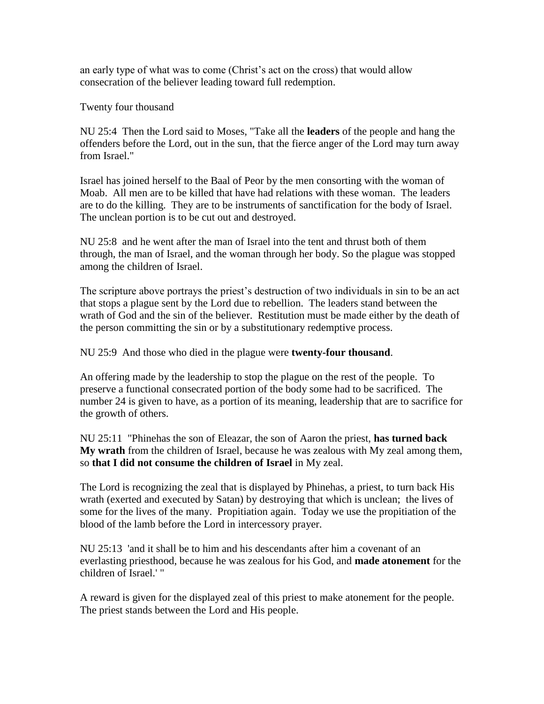an early type of what was to come (Christ's act on the cross) that would allow consecration of the believer leading toward full redemption.

Twenty four thousand

NU 25:4 Then the Lord said to Moses, "Take all the **leaders** of the people and hang the offenders before the Lord, out in the sun, that the fierce anger of the Lord may turn away from Israel."

Israel has joined herself to the Baal of Peor by the men consorting with the woman of Moab. All men are to be killed that have had relations with these woman. The leaders are to do the killing. They are to be instruments of sanctification for the body of Israel. The unclean portion is to be cut out and destroyed.

NU 25:8 and he went after the man of Israel into the tent and thrust both of them through, the man of Israel, and the woman through her body. So the plague was stopped among the children of Israel.

The scripture above portrays the priest's destruction of two individuals in sin to be an act that stops a plague sent by the Lord due to rebellion. The leaders stand between the wrath of God and the sin of the believer. Restitution must be made either by the death of the person committing the sin or by a substitutionary redemptive process.

NU 25:9 And those who died in the plague were **twenty-four thousand**.

An offering made by the leadership to stop the plague on the rest of the people. To preserve a functional consecrated portion of the body some had to be sacrificed. The number 24 is given to have, as a portion of its meaning, leadership that are to sacrifice for the growth of others.

NU 25:11 "Phinehas the son of Eleazar, the son of Aaron the priest, **has turned back My wrath** from the children of Israel, because he was zealous with My zeal among them, so **that I did not consume the children of Israel** in My zeal.

The Lord is recognizing the zeal that is displayed by Phinehas, a priest, to turn back His wrath (exerted and executed by Satan) by destroying that which is unclean; the lives of some for the lives of the many. Propitiation again. Today we use the propitiation of the blood of the lamb before the Lord in intercessory prayer.

NU 25:13 'and it shall be to him and his descendants after him a covenant of an everlasting priesthood, because he was zealous for his God, and **made atonement** for the children of Israel.' "

A reward is given for the displayed zeal of this priest to make atonement for the people. The priest stands between the Lord and His people.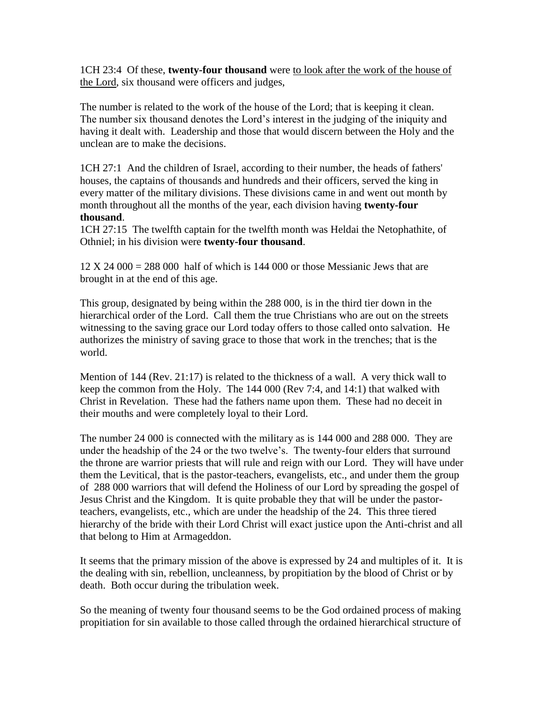1CH 23:4 Of these, **twenty-four thousand** were to look after the work of the house of the Lord, six thousand were officers and judges,

The number is related to the work of the house of the Lord; that is keeping it clean. The number six thousand denotes the Lord's interest in the judging of the iniquity and having it dealt with. Leadership and those that would discern between the Holy and the unclean are to make the decisions.

1CH 27:1 And the children of Israel, according to their number, the heads of fathers' houses, the captains of thousands and hundreds and their officers, served the king in every matter of the military divisions. These divisions came in and went out month by month throughout all the months of the year, each division having **twenty-four thousand**.

1CH 27:15 The twelfth captain for the twelfth month was Heldai the Netophathite, of Othniel; in his division were **twenty-four thousand**.

 $12 \text{ X } 24\,000 = 288\,000$  half of which is 144 000 or those Messianic Jews that are brought in at the end of this age.

This group, designated by being within the 288 000, is in the third tier down in the hierarchical order of the Lord. Call them the true Christians who are out on the streets witnessing to the saving grace our Lord today offers to those called onto salvation. He authorizes the ministry of saving grace to those that work in the trenches; that is the world.

Mention of 144 (Rev. 21:17) is related to the thickness of a wall. A very thick wall to keep the common from the Holy. The 144 000 (Rev 7:4, and 14:1) that walked with Christ in Revelation. These had the fathers name upon them. These had no deceit in their mouths and were completely loyal to their Lord.

The number 24 000 is connected with the military as is 144 000 and 288 000. They are under the headship of the 24 or the two twelve's. The twenty-four elders that surround the throne are warrior priests that will rule and reign with our Lord. They will have under them the Levitical, that is the pastor-teachers, evangelists, etc., and under them the group of 288 000 warriors that will defend the Holiness of our Lord by spreading the gospel of Jesus Christ and the Kingdom. It is quite probable they that will be under the pastorteachers, evangelists, etc., which are under the headship of the 24. This three tiered hierarchy of the bride with their Lord Christ will exact justice upon the Anti-christ and all that belong to Him at Armageddon.

It seems that the primary mission of the above is expressed by 24 and multiples of it. It is the dealing with sin, rebellion, uncleanness, by propitiation by the blood of Christ or by death. Both occur during the tribulation week.

So the meaning of twenty four thousand seems to be the God ordained process of making propitiation for sin available to those called through the ordained hierarchical structure of